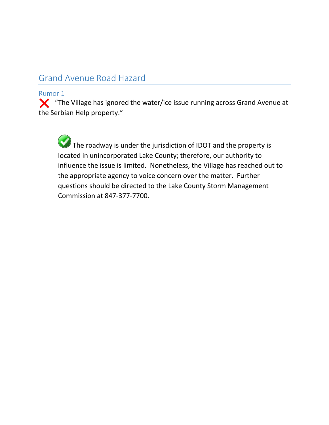# Grand Avenue Road Hazard

#### Rumor 1

**X** "The Village has ignored the water/ice issue running across Grand Avenue at the Serbian Help property."

The roadway is under the jurisdiction of IDOT and the property is located in unincorporated Lake County; therefore, our authority to influence the issue is limited. Nonetheless, the Village has reached out to the appropriate agency to voice concern over the matter. Further questions should be directed to the Lake County Storm Management Commission at 847-377-7700.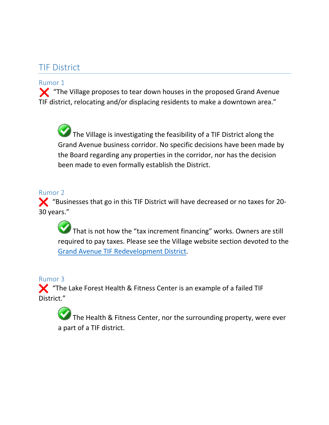# TIF District

### Rumor 1

The Village proposes to tear down houses in the proposed Grand Avenue TIF district, relocating and/or displacing residents to make a downtown area."

 $\frac{1}{2}$ The Village is investigating the feasibility of a TIF District along the Grand Avenue business corridor. No specific decisions have been made by the Board regarding any properties in the corridor, nor has the decision been made to even formally establish the District.

#### Rumor 2

"Businesses that go in this TIF District will have decreased or no taxes for 20- 30 years."

That is not how the "tax increment financing" works. Owners are still required to pay taxes. Please see the Village website section devoted to the [Grand Avenue TIF Redevelopment District.](https://www.lindenhurstil.org/egov/apps/services/index.egov?view=detail;id=59)

#### Rumor 3

**X** "The Lake Forest Health & Fitness Center is an example of a failed TIF District."

The Health & Fitness Center, nor the surrounding property, were ever a part of a TIF district.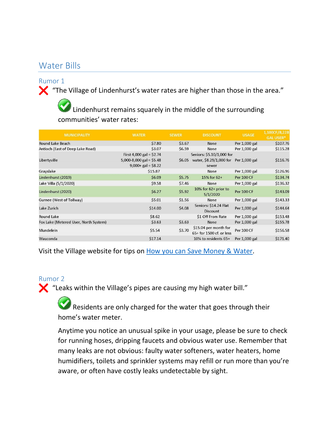## Water Bills

#### Rumor 1

"The Village of Lindenhurst's water rates are higher than those in the area."

Lindenhurst remains squarely in the middle of the surrounding communities' water rates:

| <b>MUNICIPALITY</b>                   | <b>WATER</b>              | <b>SEWER</b> | <b>DISCOUNT</b>                                   | <b>USAGE</b>      | 1,100CF/8,228    |
|---------------------------------------|---------------------------|--------------|---------------------------------------------------|-------------------|------------------|
|                                       |                           |              |                                                   |                   | <b>GAL USER*</b> |
| Round Lake Beach                      | \$7.80                    | \$3.67       | None                                              | Per 1,000 gal     | \$107.76         |
| Antioch (East of Deep Lake Road)      | \$3.07                    | \$6.59       | None                                              | Per 1,000 gal     | \$115.28         |
|                                       | First 4,000 gal = $$2.74$ |              | Seniors: \$5.10/1,000 for                         |                   |                  |
| Libertyville                          | 5,000-8,000 gal = $$5.48$ | \$6.05       | water, \$8.29/1,000 for                           | Per 1,000 gal     | \$116.76         |
|                                       | $9,000+$ gal = \$8.22     |              | sewer                                             |                   |                  |
| Grayslake                             | \$15.87                   |              | None                                              | Per 1,000 gal     | \$126.96         |
| Lindenhurst (2019)                    | \$6.09                    | \$5.75       | $15%$ for $62+$                                   | <b>Per 100 CF</b> | \$134.74         |
| Lake Villa (5/1/2020)                 | \$9.58                    | \$7.46       | None                                              | Per 1,000 gal     | \$136.32         |
| Lindenhurst (2020)                    | \$6.27                    | \$5.92       | 10% for $62+$ prior to<br>5/1/2020                | <b>Per 100 CF</b> | \$143.09         |
| Gurnee (West of Tollway)              | \$5.01                    | \$1.56       | None                                              | Per 1,000 gal     | \$143.33         |
| Lake Zurich                           | \$14.00                   | \$4.08       | Seniors: \$14.24 Flat<br>Discount                 | Per 1,000 gal     | \$144.64         |
| Round Lake                            | \$8.62                    |              | \$1 Off From Rate                                 | Per 1,000 gal     | \$153.48         |
| Fox Lake (Metered User, North System) | \$3.63                    | \$3.63       | None                                              | Per 1,000 gal     | \$155.78         |
| Mundelein                             | \$5.54                    | \$3.70       | \$15.04 per month for<br>65+ for 1500 cf. or less | Per 100 CF        | \$156.58         |
| Wauconda                              | \$17.14                   |              | 10% to residents 65+                              | Per 1,000 gal     | \$171.40         |

Visit the Village website for tips on [How you can Save Money & Water.](https://www.lindenhurstil.org/egov/documents/1493239935_80267.pdf)

#### Rumor 2

 $\mathsf{\times}$  "Leaks within the Village's pipes are causing my high water bill."

Residents are only charged for the water that goes through their home's water meter.

Anytime you notice an unusual spike in your usage, please be sure to check for running hoses, dripping faucets and obvious water use. Remember that many leaks are not obvious: faulty water softeners, water heaters, home humidifiers, toilets and sprinkler systems may refill or run more than you're aware, or often have costly leaks undetectable by sight.